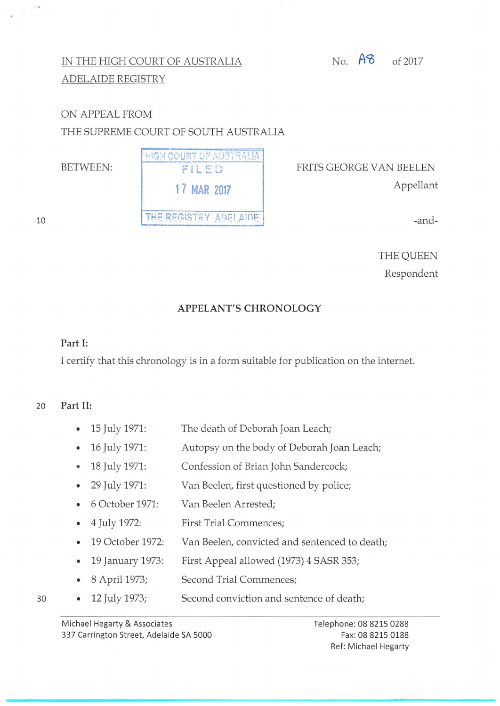# No.  $\overline{AB}$  of 2017

## IN THE HIGH COURT OF AUSTRALIA ADELAIDE REGISTRY

# ON APPEAL FROM THE SUPREME COURT OF SOUTH AUSTRALIA

10

 $\sim$ 



FRITS GEORGE V AN BEELEN Appellant

-and-

THE QUEEN Respondent

### **APPELANT'S CHRONOLOGY**

#### **Part 1:**

I certify that this chronology is in a form suitable for publication on the internet.

### 20 **Part 11:**

- 15 July 1971: The death of Deborah Joan Leach;
- 16 July 1971: Autopsy on the body of Deborah Joan Leach;
- 18 July 1971: Confession of Brian John Sandercock;
- 29 July 1971: Van Beelen, first questioned by police;
- 6 October 1971: Van Beelen Arrested;
- 4 July 1972: First Trial Commences;
- 19 October 1972: Van Beelen, convicted and sentenced to death;
- 19 January 1973: First Appeal allowed (1973) 4 SASR 353;
- 8 April 1973; Second Trial Commences;
- 12 July 1973; Second conviction and sentence of death;

Michael Hegarty & Associates 337 Carrington Street, Adelaide SA 5000 Telephone: 08 8215 0288 Fax: 08 8215 0188 Ref: Michael Hegarty

30